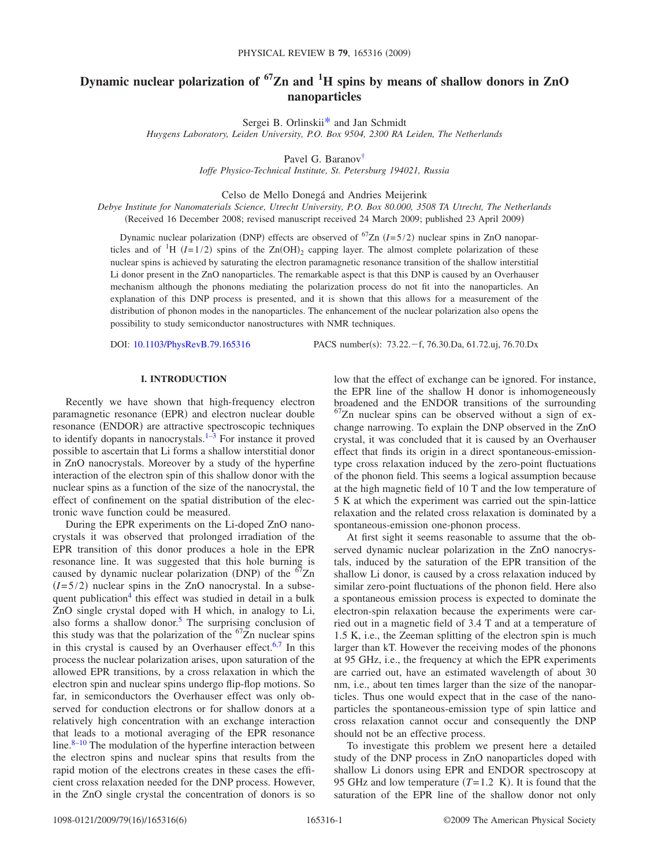# **Dynamic nuclear polarization of 67Zn and <sup>1</sup> H spins by means of shallow donors in ZnO nanoparticles**

Sergei B. Orlinskii<sup>\*</sup> and Jan Schmidt *Huygens Laboratory, Leiden University, P.O. Box 9504, 2300 RA Leiden, The Netherlands*

Pavel G. Barano[v†](#page-5-1)

*Ioffe Physico-Technical Institute, St. Petersburg 194021, Russia*

Celso de Mello Donegá and Andries Meijerink

*Debye Institute for Nanomaterials Science, Utrecht University, P.O. Box 80.000, 3508 TA Utrecht, The Netherlands* Received 16 December 2008; revised manuscript received 24 March 2009; published 23 April 2009-

Dynamic nuclear polarization (DNP) effects are observed of  ${}^{67}Zn$  *(I=5/2)* nuclear spins in ZnO nanoparticles and of <sup>1</sup>H  $(I=1/2)$  spins of the Zn $(OH)_2$  capping layer. The almost complete polarization of these nuclear spins is achieved by saturating the electron paramagnetic resonance transition of the shallow interstitial Li donor present in the ZnO nanoparticles. The remarkable aspect is that this DNP is caused by an Overhauser mechanism although the phonons mediating the polarization process do not fit into the nanoparticles. An explanation of this DNP process is presented, and it is shown that this allows for a measurement of the distribution of phonon modes in the nanoparticles. The enhancement of the nuclear polarization also opens the possibility to study semiconductor nanostructures with NMR techniques.

DOI: [10.1103/PhysRevB.79.165316](http://dx.doi.org/10.1103/PhysRevB.79.165316)

PACS number(s): 73.22. - f, 76.30.Da, 61.72.uj, 76.70.Dx

## **I. INTRODUCTION**

Recently we have shown that high-frequency electron paramagnetic resonance (EPR) and electron nuclear double resonance (ENDOR) are attractive spectroscopic techniques to identify dopants in nanocrystals. $1-\frac{3}{5}$  $1-\frac{3}{5}$  $1-\frac{3}{5}$  For instance it proved possible to ascertain that Li forms a shallow interstitial donor in ZnO nanocrystals. Moreover by a study of the hyperfine interaction of the electron spin of this shallow donor with the nuclear spins as a function of the size of the nanocrystal, the effect of confinement on the spatial distribution of the electronic wave function could be measured.

During the EPR experiments on the Li-doped ZnO nanocrystals it was observed that prolonged irradiation of the EPR transition of this donor produces a hole in the EPR resonance line. It was suggested that this hole burning is caused by dynamic nuclear polarization (DNP) of the  ${}^{67}Zn$  $(I=5/2)$  nuclear spins in the ZnO nanocrystal. In a subsequent publication<sup>4</sup> this effect was studied in detail in a bulk ZnO single crystal doped with H which, in analogy to Li, also forms a shallow donor.<sup>5</sup> The surprising conclusion of this study was that the polarization of the  ${}^{67}Zn$  nuclear spins in this crystal is caused by an Overhauser effect.<sup>6,[7](#page-5-7)</sup> In this process the nuclear polarization arises, upon saturation of the allowed EPR transitions, by a cross relaxation in which the electron spin and nuclear spins undergo flip-flop motions. So far, in semiconductors the Overhauser effect was only observed for conduction electrons or for shallow donors at a relatively high concentration with an exchange interaction that leads to a motional averaging of the EPR resonance line. $8-10$  The modulation of the hyperfine interaction between the electron spins and nuclear spins that results from the rapid motion of the electrons creates in these cases the efficient cross relaxation needed for the DNP process. However, in the ZnO single crystal the concentration of donors is so

low that the effect of exchange can be ignored. For instance, the EPR line of the shallow H donor is inhomogeneously broadened and the ENDOR transitions of the surrounding  $67Zn$  nuclear spins can be observed without a sign of exchange narrowing. To explain the DNP observed in the ZnO crystal, it was concluded that it is caused by an Overhauser effect that finds its origin in a direct spontaneous-emissiontype cross relaxation induced by the zero-point fluctuations of the phonon field. This seems a logical assumption because at the high magnetic field of 10 T and the low temperature of 5 K at which the experiment was carried out the spin-lattice relaxation and the related cross relaxation is dominated by a spontaneous-emission one-phonon process.

At first sight it seems reasonable to assume that the observed dynamic nuclear polarization in the ZnO nanocrystals, induced by the saturation of the EPR transition of the shallow Li donor, is caused by a cross relaxation induced by similar zero-point fluctuations of the phonon field. Here also a spontaneous emission process is expected to dominate the electron-spin relaxation because the experiments were carried out in a magnetic field of 3.4 T and at a temperature of 1.5 K, i.e., the Zeeman splitting of the electron spin is much larger than kT. However the receiving modes of the phonons at 95 GHz, i.e., the frequency at which the EPR experiments are carried out, have an estimated wavelength of about 30 nm, i.e., about ten times larger than the size of the nanoparticles. Thus one would expect that in the case of the nanoparticles the spontaneous-emission type of spin lattice and cross relaxation cannot occur and consequently the DNP should not be an effective process.

To investigate this problem we present here a detailed study of the DNP process in ZnO nanoparticles doped with shallow Li donors using EPR and ENDOR spectroscopy at 95 GHz and low temperature  $(T=1.2 \text{ K})$ . It is found that the saturation of the EPR line of the shallow donor not only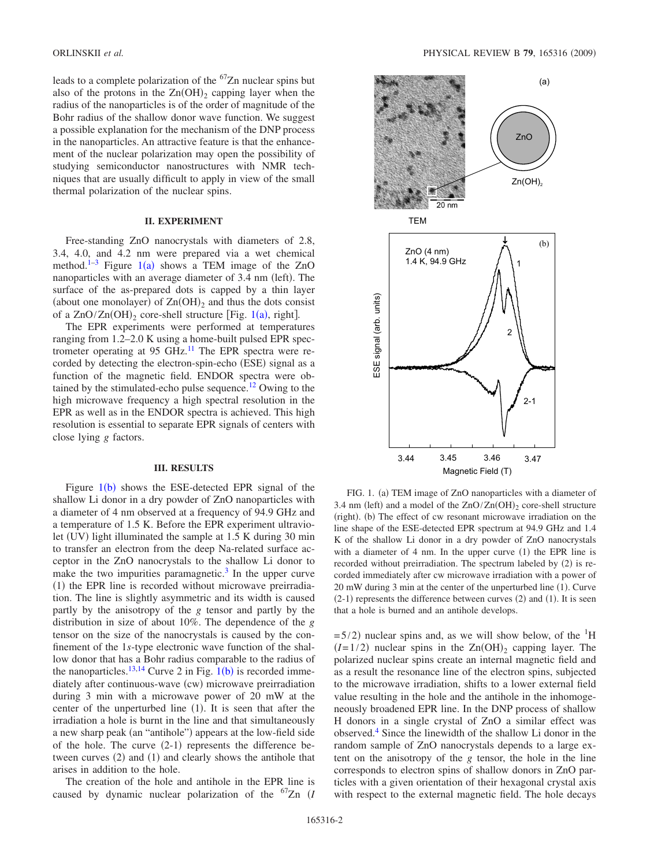leads to a complete polarization of the  ${}^{67}Zn$  nuclear spins but also of the protons in the  $Zn(OH)_2$  capping layer when the radius of the nanoparticles is of the order of magnitude of the Bohr radius of the shallow donor wave function. We suggest a possible explanation for the mechanism of the DNP process in the nanoparticles. An attractive feature is that the enhancement of the nuclear polarization may open the possibility of studying semiconductor nanostructures with NMR techniques that are usually difficult to apply in view of the small thermal polarization of the nuclear spins.

## **II. EXPERIMENT**

Free-standing ZnO nanocrystals with diameters of 2.8, 3.4, 4.0, and 4.2 nm were prepared via a wet chemical method.<sup>[1](#page-1-0)-3</sup> Figure 1(a) shows a TEM image of the ZnO nanoparticles with an average diameter of 3.4 nm (left). The surface of the as-prepared dots is capped by a thin layer (about one monolayer) of  $\text{Zn}(\text{OH})_2$  and thus the dots consist of a  $ZnO/Zn(OH)_2$  core-shell structure [Fig. [1](#page-1-0)(a), right].

The EPR experiments were performed at temperatures ranging from 1.2–2.0 K using a home-built pulsed EPR spectrometer operating at 95 GHz. $<sup>11</sup>$  The EPR spectra were re-</sup> corded by detecting the electron-spin-echo (ESE) signal as a function of the magnetic field. ENDOR spectra were obtained by the stimulated-echo pulse sequence.<sup>12</sup> Owing to the high microwave frequency a high spectral resolution in the EPR as well as in the ENDOR spectra is achieved. This high resolution is essential to separate EPR signals of centers with close lying *g* factors.

#### **III. RESULTS**

Figure  $1(b)$  $1(b)$  shows the ESE-detected EPR signal of the shallow Li donor in a dry powder of ZnO nanoparticles with a diameter of 4 nm observed at a frequency of 94.9 GHz and a temperature of 1.5 K. Before the EPR experiment ultraviolet (UV) light illuminated the sample at 1.5 K during 30 min to transfer an electron from the deep Na-related surface acceptor in the ZnO nanocrystals to the shallow Li donor to make the two impurities paramagnetic.<sup>3</sup> In the upper curve (1) the EPR line is recorded without microwave preirradiation. The line is slightly asymmetric and its width is caused partly by the anisotropy of the *g* tensor and partly by the distribution in size of about 10%. The dependence of the *g* tensor on the size of the nanocrystals is caused by the confinement of the 1*s*-type electronic wave function of the shallow donor that has a Bohr radius comparable to the radius of the nanoparticles.<sup>13,[14](#page-5-13)</sup> Curve 2 in Fig.  $1(b)$  $1(b)$  is recorded immediately after continuous-wave (cw) microwave preirradiation during 3 min with a microwave power of 20 mW at the center of the unperturbed line (1). It is seen that after the irradiation a hole is burnt in the line and that simultaneously a new sharp peak (an "antihole") appears at the low-field side of the hole. The curve  $(2-1)$  represents the difference between curves  $(2)$  and  $(1)$  and clearly shows the antihole that arises in addition to the hole.

The creation of the hole and antihole in the EPR line is caused by dynamic nuclear polarization of the 67Zn *I*

<span id="page-1-0"></span>

FIG. 1. (a) TEM image of ZnO nanoparticles with a diameter of 3.4 nm (left) and a model of the  $ZnO/Zn(OH)_2$  core-shell structure (right). (b) The effect of cw resonant microwave irradiation on the line shape of the ESE-detected EPR spectrum at 94.9 GHz and 1.4 K of the shallow Li donor in a dry powder of ZnO nanocrystals with a diameter of 4 nm. In the upper curve  $(1)$  the EPR line is recorded without preirradiation. The spectrum labeled by (2) is recorded immediately after cw microwave irradiation with a power of 20 mW during 3 min at the center of the unperturbed line (1). Curve  $(2-1)$  represents the difference between curves  $(2)$  and  $(1)$ . It is seen that a hole is burned and an antihole develops.

 $= 5/2$ ) nuclear spins and, as we will show below, of the  ${}^{1}H$  $(I=1/2)$  nuclear spins in the  $Zn(OH)_2$  capping layer. The polarized nuclear spins create an internal magnetic field and as a result the resonance line of the electron spins, subjected to the microwave irradiation, shifts to a lower external field value resulting in the hole and the antihole in the inhomogeneously broadened EPR line. In the DNP process of shallow H donors in a single crystal of ZnO a similar effect was observed[.4](#page-5-4) Since the linewidth of the shallow Li donor in the random sample of ZnO nanocrystals depends to a large extent on the anisotropy of the *g* tensor, the hole in the line corresponds to electron spins of shallow donors in ZnO particles with a given orientation of their hexagonal crystal axis with respect to the external magnetic field. The hole decays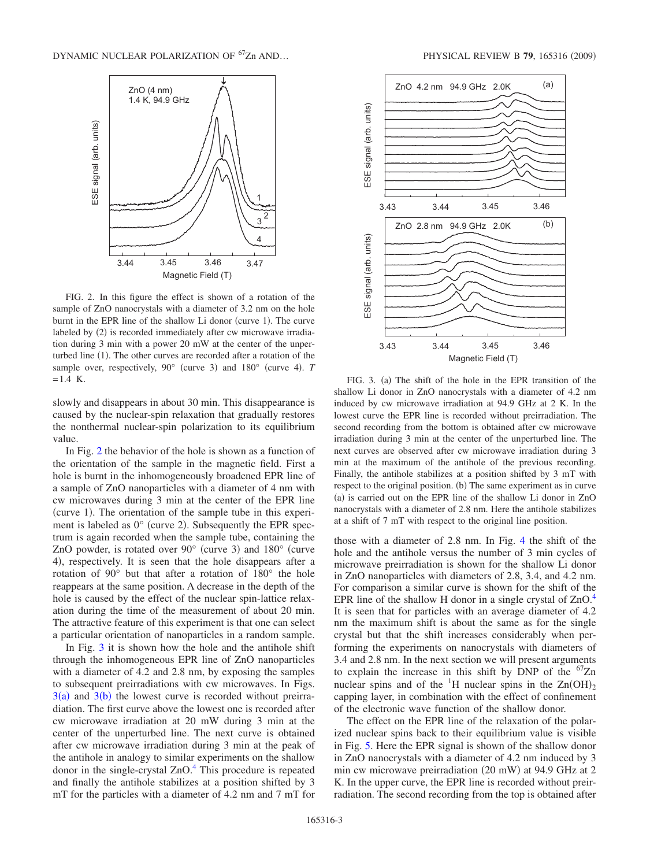<span id="page-2-0"></span>

FIG. 2. In this figure the effect is shown of a rotation of the sample of ZnO nanocrystals with a diameter of 3.2 nm on the hole burnt in the EPR line of the shallow Li donor (curve 1). The curve labeled by (2) is recorded immediately after cw microwave irradiation during 3 min with a power 20 mW at the center of the unperturbed line (1). The other curves are recorded after a rotation of the sample over, respectively,  $90^{\circ}$  (curve 3) and  $180^{\circ}$  (curve 4). *T*  $=1.4$  K.

slowly and disappears in about 30 min. This disappearance is caused by the nuclear-spin relaxation that gradually restores the nonthermal nuclear-spin polarization to its equilibrium value.

In Fig. [2](#page-2-0) the behavior of the hole is shown as a function of the orientation of the sample in the magnetic field. First a hole is burnt in the inhomogeneously broadened EPR line of a sample of ZnO nanoparticles with a diameter of 4 nm with cw microwaves during 3 min at the center of the EPR line (curve 1). The orientation of the sample tube in this experiment is labeled as  $0^{\circ}$  (curve 2). Subsequently the EPR spectrum is again recorded when the sample tube, containing the ZnO powder, is rotated over  $90^{\circ}$  (curve 3) and  $180^{\circ}$  (curve 4), respectively. It is seen that the hole disappears after a rotation of 90° but that after a rotation of 180° the hole reappears at the same position. A decrease in the depth of the hole is caused by the effect of the nuclear spin-lattice relaxation during the time of the measurement of about 20 min. The attractive feature of this experiment is that one can select a particular orientation of nanoparticles in a random sample.

In Fig. [3](#page-2-1) it is shown how the hole and the antihole shift through the inhomogeneous EPR line of ZnO nanoparticles with a diameter of 4.2 and 2.8 nm, by exposing the samples to subsequent preirradiations with cw microwaves. In Figs.  $3(a)$  $3(a)$  and  $3(b)$  the lowest curve is recorded without preirradiation. The first curve above the lowest one is recorded after cw microwave irradiation at 20 mW during 3 min at the center of the unperturbed line. The next curve is obtained after cw microwave irradiation during 3 min at the peak of the antihole in analogy to similar experiments on the shallow donor in the single-crystal ZnO[.4](#page-5-4) This procedure is repeated and finally the antihole stabilizes at a position shifted by 3 mT for the particles with a diameter of 4.2 nm and 7 mT for

<span id="page-2-1"></span>

FIG. 3. (a) The shift of the hole in the EPR transition of the shallow Li donor in ZnO nanocrystals with a diameter of 4.2 nm induced by cw microwave irradiation at 94.9 GHz at 2 K. In the lowest curve the EPR line is recorded without preirradiation. The second recording from the bottom is obtained after cw microwave irradiation during 3 min at the center of the unperturbed line. The next curves are observed after cw microwave irradiation during 3 min at the maximum of the antihole of the previous recording. Finally, the antihole stabilizes at a position shifted by 3 mT with respect to the original position. (b) The same experiment as in curve (a) is carried out on the EPR line of the shallow Li donor in ZnO nanocrystals with a diameter of 2.8 nm. Here the antihole stabilizes at a shift of 7 mT with respect to the original line position.

those with a diameter of 2.8 nm. In Fig. [4](#page-3-0) the shift of the hole and the antihole versus the number of 3 min cycles of microwave preirradiation is shown for the shallow Li donor in ZnO nanoparticles with diameters of 2.8, 3.4, and 4.2 nm. For comparison a similar curve is shown for the shift of the EPR line of the shallow H donor in a single crystal of  $ZnO<sup>4</sup>$ It is seen that for particles with an average diameter of 4.2 nm the maximum shift is about the same as for the single crystal but that the shift increases considerably when performing the experiments on nanocrystals with diameters of 3.4 and 2.8 nm. In the next section we will present arguments to explain the increase in this shift by DNP of the <sup>67</sup>Zn nuclear spins and of the <sup>1</sup>H nuclear spins in the  $\text{Zn}(\text{OH})_2$ capping layer, in combination with the effect of confinement of the electronic wave function of the shallow donor.

The effect on the EPR line of the relaxation of the polarized nuclear spins back to their equilibrium value is visible in Fig. [5.](#page-3-1) Here the EPR signal is shown of the shallow donor in ZnO nanocrystals with a diameter of 4.2 nm induced by 3 min cw microwave preirradiation (20 mW) at 94.9 GHz at 2 K. In the upper curve, the EPR line is recorded without preirradiation. The second recording from the top is obtained after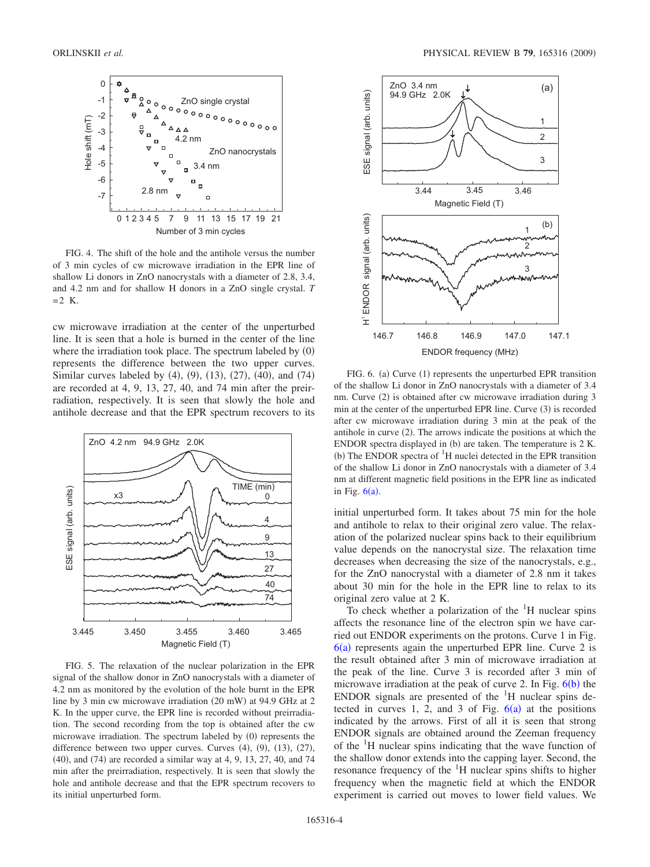<span id="page-3-0"></span>

FIG. 4. The shift of the hole and the antihole versus the number of 3 min cycles of cw microwave irradiation in the EPR line of shallow Li donors in ZnO nanocrystals with a diameter of 2.8, 3.4, and 4.2 nm and for shallow H donors in a ZnO single crystal. *T*  $=2$  K.

cw microwave irradiation at the center of the unperturbed line. It is seen that a hole is burned in the center of the line where the irradiation took place. The spectrum labeled by  $(0)$ represents the difference between the two upper curves. Similar curves labeled by  $(4)$ ,  $(9)$ ,  $(13)$ ,  $(27)$ ,  $(40)$ , and  $(74)$ are recorded at 4, 9, 13, 27, 40, and 74 min after the preirradiation, respectively. It is seen that slowly the hole and antihole decrease and that the EPR spectrum recovers to its

<span id="page-3-1"></span>

FIG. 5. The relaxation of the nuclear polarization in the EPR signal of the shallow donor in ZnO nanocrystals with a diameter of 4.2 nm as monitored by the evolution of the hole burnt in the EPR line by 3 min cw microwave irradiation (20 mW) at 94.9 GHz at 2 K. In the upper curve, the EPR line is recorded without preirradiation. The second recording from the top is obtained after the cw microwave irradiation. The spectrum labeled by (0) represents the difference between two upper curves. Curves  $(4)$ ,  $(9)$ ,  $(13)$ ,  $(27)$ , (40), and (74) are recorded a similar way at 4, 9, 13, 27, 40, and 74 min after the preirradiation, respectively. It is seen that slowly the hole and antihole decrease and that the EPR spectrum recovers to its initial unperturbed form.

<span id="page-3-2"></span>

FIG. 6. (a) Curve (1) represents the unperturbed EPR transition of the shallow Li donor in ZnO nanocrystals with a diameter of 3.4 nm. Curve (2) is obtained after cw microwave irradiation during 3 min at the center of the unperturbed EPR line. Curve (3) is recorded after cw microwave irradiation during 3 min at the peak of the antihole in curve (2). The arrows indicate the positions at which the ENDOR spectra displayed in (b) are taken. The temperature is 2 K. (b) The ENDOR spectra of  ${}^{1}H$  nuclei detected in the EPR transition of the shallow Li donor in ZnO nanocrystals with a diameter of 3.4 nm at different magnetic field positions in the EPR line as indicated in Fig.  $6(a)$  $6(a)$ .

initial unperturbed form. It takes about 75 min for the hole and antihole to relax to their original zero value. The relaxation of the polarized nuclear spins back to their equilibrium value depends on the nanocrystal size. The relaxation time decreases when decreasing the size of the nanocrystals, e.g., for the ZnO nanocrystal with a diameter of 2.8 nm it takes about 30 min for the hole in the EPR line to relax to its original zero value at 2 K.

To check whether a polarization of the  ${}^{1}H$  nuclear spins affects the resonance line of the electron spin we have carried out ENDOR experiments on the protons. Curve 1 in Fig.  $6(a)$  $6(a)$  represents again the unperturbed EPR line. Curve 2 is the result obtained after 3 min of microwave irradiation at the peak of the line. Curve 3 is recorded after 3 min of microwave irradiation at the peak of curve 2. In Fig.  $6(b)$  $6(b)$  the ENDOR signals are presented of the  ${}^{1}H$  nuclear spins detected in curves 1, 2, and 3 of Fig.  $6(a)$  $6(a)$  at the positions indicated by the arrows. First of all it is seen that strong ENDOR signals are obtained around the Zeeman frequency of the <sup>1</sup>H nuclear spins indicating that the wave function of the shallow donor extends into the capping layer. Second, the resonance frequency of the <sup>1</sup>H nuclear spins shifts to higher frequency when the magnetic field at which the ENDOR experiment is carried out moves to lower field values. We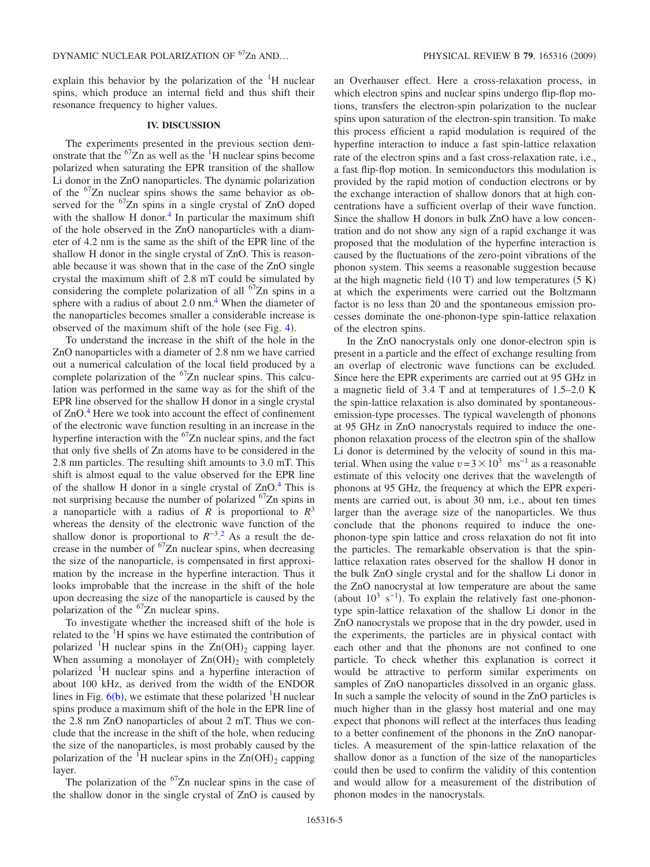explain this behavior by the polarization of the  ${}^{1}H$  nuclear spins, which produce an internal field and thus shift their resonance frequency to higher values.

#### **IV. DISCUSSION**

The experiments presented in the previous section demonstrate that the  ${}^{67}Zn$  as well as the <sup>1</sup>H nuclear spins become polarized when saturating the EPR transition of the shallow Li donor in the ZnO nanoparticles. The dynamic polarization of the 67Zn nuclear spins shows the same behavior as observed for the <sup>67</sup>Zn spins in a single crystal of ZnO doped with the shallow  $H$  donor.<sup>4</sup> In particular the maximum shift of the hole observed in the ZnO nanoparticles with a diameter of 4.2 nm is the same as the shift of the EPR line of the shallow H donor in the single crystal of ZnO. This is reasonable because it was shown that in the case of the ZnO single crystal the maximum shift of 2.8 mT could be simulated by considering the complete polarization of all  $^{67}Zn$  spins in a sphere with a radius of about 2.0 nm.<sup>4</sup> When the diameter of the nanoparticles becomes smaller a considerable increase is observed of the maximum shift of the hole (see Fig.  $4$ ).

To understand the increase in the shift of the hole in the ZnO nanoparticles with a diameter of 2.8 nm we have carried out a numerical calculation of the local field produced by a complete polarization of the <sup>67</sup>Zn nuclear spins. This calculation was performed in the same way as for the shift of the EPR line observed for the shallow H donor in a single crystal of ZnO[.4](#page-5-4) Here we took into account the effect of confinement of the electronic wave function resulting in an increase in the hyperfine interaction with the  $^{67}Zn$  nuclear spins, and the fact that only five shells of Zn atoms have to be considered in the 2.8 nm particles. The resulting shift amounts to 3.0 mT. This shift is almost equal to the value observed for the EPR line of the shallow H donor in a single crystal of ZnO[.4](#page-5-4) This is not surprising because the number of polarized 67Zn spins in a nanoparticle with a radius of *R* is proportional to  $R^3$ whereas the density of the electronic wave function of the shallow donor is proportional to  $R^{-3}$ <sup>[2](#page-5-14)</sup>. As a result the decrease in the number of  $^{67}Zn$  nuclear spins, when decreasing the size of the nanoparticle, is compensated in first approximation by the increase in the hyperfine interaction. Thus it looks improbable that the increase in the shift of the hole upon decreasing the size of the nanoparticle is caused by the polarization of the 67Zn nuclear spins.

To investigate whether the increased shift of the hole is related to the  ${}^{1}$ H spins we have estimated the contribution of polarized <sup>1</sup>H nuclear spins in the  $\text{Zn}(\text{OH})_2$  capping layer. When assuming a monolayer of  $\text{Zn}(\text{OH})_2$  with completely polarized <sup>1</sup>H nuclear spins and a hyperfine interaction of about 100 kHz, as derived from the width of the ENDOR lines in Fig.  $6(b)$  $6(b)$ , we estimate that these polarized <sup>1</sup>H nuclear spins produce a maximum shift of the hole in the EPR line of the 2.8 nm ZnO nanoparticles of about 2 mT. Thus we conclude that the increase in the shift of the hole, when reducing the size of the nanoparticles, is most probably caused by the polarization of the <sup>1</sup>H nuclear spins in the  $\text{Zn}(\text{OH})_2$  capping layer.

The polarization of the  $^{67}Zn$  nuclear spins in the case of the shallow donor in the single crystal of ZnO is caused by

an Overhauser effect. Here a cross-relaxation process, in which electron spins and nuclear spins undergo flip-flop motions, transfers the electron-spin polarization to the nuclear spins upon saturation of the electron-spin transition. To make this process efficient a rapid modulation is required of the hyperfine interaction to induce a fast spin-lattice relaxation rate of the electron spins and a fast cross-relaxation rate, i.e., a fast flip-flop motion. In semiconductors this modulation is provided by the rapid motion of conduction electrons or by the exchange interaction of shallow donors that at high concentrations have a sufficient overlap of their wave function. Since the shallow H donors in bulk ZnO have a low concentration and do not show any sign of a rapid exchange it was proposed that the modulation of the hyperfine interaction is caused by the fluctuations of the zero-point vibrations of the phonon system. This seems a reasonable suggestion because at the high magnetic field  $(10 \text{ T})$  and low temperatures  $(5 \text{ K})$ at which the experiments were carried out the Boltzmann factor is no less than 20 and the spontaneous emission processes dominate the one-phonon-type spin-lattice relaxation of the electron spins.

In the ZnO nanocrystals only one donor-electron spin is present in a particle and the effect of exchange resulting from an overlap of electronic wave functions can be excluded. Since here the EPR experiments are carried out at 95 GHz in a magnetic field of 3.4 T and at temperatures of 1.5–2.0 K the spin-lattice relaxation is also dominated by spontaneousemission-type processes. The typical wavelength of phonons at 95 GHz in ZnO nanocrystals required to induce the onephonon relaxation process of the electron spin of the shallow Li donor is determined by the velocity of sound in this material. When using the value  $v = 3 \times 10^3$  ms<sup>-1</sup> as a reasonable estimate of this velocity one derives that the wavelength of phonons at 95 GHz, the frequency at which the EPR experiments are carried out, is about 30 nm, i.e., about ten times larger than the average size of the nanoparticles. We thus conclude that the phonons required to induce the onephonon-type spin lattice and cross relaxation do not fit into the particles. The remarkable observation is that the spinlattice relaxation rates observed for the shallow H donor in the bulk ZnO single crystal and for the shallow Li donor in the ZnO nanocrystal at low temperature are about the same (about  $10^3$  s<sup>-1</sup>). To explain the relatively fast one-phonontype spin-lattice relaxation of the shallow Li donor in the ZnO nanocrystals we propose that in the dry powder, used in the experiments, the particles are in physical contact with each other and that the phonons are not confined to one particle. To check whether this explanation is correct it would be attractive to perform similar experiments on samples of ZnO nanoparticles dissolved in an organic glass. In such a sample the velocity of sound in the ZnO particles is much higher than in the glassy host material and one may expect that phonons will reflect at the interfaces thus leading to a better confinement of the phonons in the ZnO nanoparticles. A measurement of the spin-lattice relaxation of the shallow donor as a function of the size of the nanoparticles could then be used to confirm the validity of this contention and would allow for a measurement of the distribution of phonon modes in the nanocrystals.